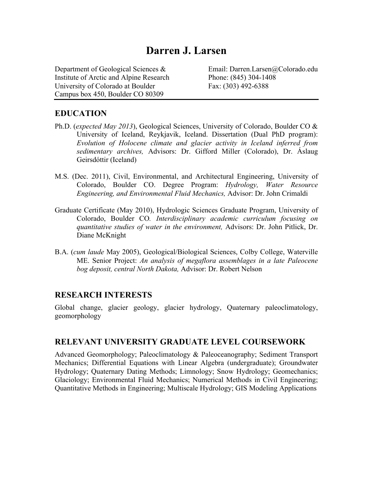# **Darren J. Larsen**

Department of Geological Sciences & Email: Darren.Larsen@Colorado.edu Institute of Arctic and Alpine Research Phone: (845) 304-1408 University of Colorado at Boulder Fax: (303) 492-6388 Campus box 450, Boulder CO 80309

### **EDUCATION**

- Ph.D. (*expected May 2013*), Geological Sciences, University of Colorado, Boulder CO & University of Iceland, Reykjavik, Iceland. Dissertation (Dual PhD program): *Evolution of Holocene climate and glacier activity in Iceland inferred from sedimentary archives,* Advisors: Dr. Gifford Miller (Colorado), Dr. Áslaug Geirsdóttir (Iceland)
- M.S. (Dec. 2011), Civil, Environmental, and Architectural Engineering, University of Colorado, Boulder CO. Degree Program: *Hydrology, Water Resource Engineering, and Environmental Fluid Mechanics,* Advisor: Dr. John Crimaldi
- Graduate Certificate (May 2010), Hydrologic Sciences Graduate Program, University of Colorado, Boulder CO*. Interdisciplinary academic curriculum focusing on quantitative studies of water in the environment,* Advisors: Dr. John Pitlick, Dr. Diane McKnight
- B.A. (*cum laude* May 2005), Geological/Biological Sciences, Colby College, Waterville ME. Senior Project: *An analysis of megaflora assemblages in a late Paleocene bog deposit, central North Dakota,* Advisor: Dr. Robert Nelson

#### **RESEARCH INTERESTS**

Global change, glacier geology, glacier hydrology, Quaternary paleoclimatology, geomorphology

### **RELEVANT UNIVERSITY GRADUATE LEVEL COURSEWORK**

Advanced Geomorphology; Paleoclimatology & Paleoceanography; Sediment Transport Mechanics; Differential Equations with Linear Algebra (undergraduate); Groundwater Hydrology; Quaternary Dating Methods; Limnology; Snow Hydrology; Geomechanics; Glaciology; Environmental Fluid Mechanics; Numerical Methods in Civil Engineering; Quantitative Methods in Engineering; Multiscale Hydrology; GIS Modeling Applications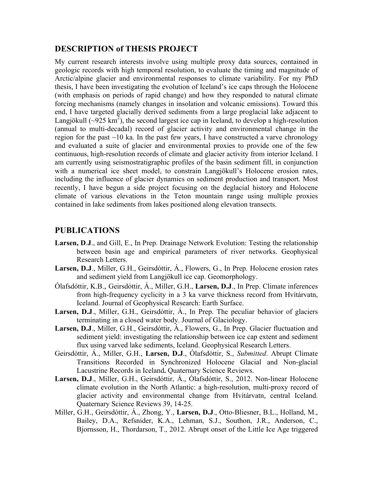### **DESCRIPTION of THESIS PROJECT**

My current research interests involve using multiple proxy data sources, contained in geologic records with high temporal resolution, to evaluate the timing and magnitude of Arctic/alpine glacier and environmental responses to climate variability. For my PhD thesis, I have been investigating the evolution of Iceland's ice caps through the Holocene (with emphasis on periods of rapid change) and how they responded to natural climate forcing mechanisms (namely changes in insolation and volcanic emissions). Toward this end, I have targeted glacially derived sediments from a large proglacial lake adjacent to Langjökull ( $\sim$ 925 km<sup>2</sup>), the second largest ice cap in Iceland, to develop a high-resolution (annual to multi-decadal) record of glacier activity and environmental change in the region for the past  $\sim$ 10 ka. In the past few years, I have constructed a varve chronology and evaluated a suite of glacier and environmental proxies to provide one of the few continuous, high-resolution records of climate and glacier activity from interior Iceland. I am currently using seismostratigraphic profiles of the basin sediment fill, in conjunction with a numerical ice sheet model, to constrain Langjökull's Holocene erosion rates, including the influence of glacier dynamics on sediment production and transport. Most recently, I have begun a side project focusing on the deglacial history and Holocene climate of various elevations in the Teton mountain range using multiple proxies contained in lake sediments from lakes positioned along elevation transects.

# **PUBLICATIONS**

- **Larsen, D**.**J**., and Gill, E., In Prep. Drainage Network Evolution: Testing the relationship between basin age and empirical parameters of river networks. Geophysical Research Letters.
- **Larsen, D.J**., Miller, G.H., Geirsdóttir, Á., Flowers, G., In Prep. Holocene erosion rates and sediment yield from Langjökull ice cap. Geomorphology.
- Ólafsdóttir, K.B., Geirsdóttir, Á., Miller, G.H., **Larsen, D.J**., In Prep. Climate inferences from high-frequency cyclicity in a 3 ka varve thickness record from Hvítárvatn, Iceland. Journal of Geophysical Research: Earth Surface.
- Larsen, D.J., Miller, G.H., Geirsdóttir, Á., In Prep. The peculiar behavior of glaciers terminating in a closed water body. Journal of Glaciology.
- Larsen, D.J., Miller, G.H., Geirsdóttir, Á., Flowers, G., In Prep. Glacier fluctuation and sediment yield: investigating the relationship between ice cap extent and sediment flux using varved lake sediments, Iceland. Geophysical Research Letters.
- Geirsdóttir, Á., Miller, G.H., **Larsen, D.J**., Ólafsdóttir, S., *Submitted*. Abrupt Climate Transitions Recorded in Synchronized Holocene Glacial and Non-glacial Lacustrine Records in Iceland**.** Quaternary Science Reviews.
- **Larsen, D.J**., Miller, G.H., Geirsdóttir, Á., Ólafsdóttir, S., 2012. Non-linear Holocene climate evolution in the North Atlantic: a high-resolution, multi-proxy record of glacier activity and environmental change from Hvítárvatn, central Iceland. Quaternary Science Reviews 39, 14-25.
- Miller, G.H., Geirsdóttir, Á., Zhong, Y., **Larsen, D.J**., Otto-Bliesner, B.L., Holland, M., Bailey, D.A., Refsnider, K.A., Lehman, S.J., Southon, J.R., Anderson, C., Bjornsson, H., Thordarson, T., 2012. Abrupt onset of the Little Ice Age triggered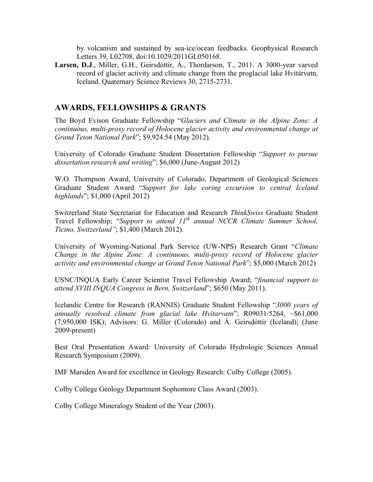by volcanism and sustained by sea-ice/ocean feedbacks. Geophysical Research Letters 39, L02708, doi:10.1029/2011GL050168.

**Larsen, D.J**., Miller, G.H., Geirsdóttir, Á., Thordarson, T., 2011. A 3000-year varved record of glacier activity and climate change from the proglacial lake Hvítárvatn, Iceland. Quaternary Science Reviews 30, 2715-2731.

# **AWARDS, FELLOWSHIPS & GRANTS**

The Boyd Evison Graduate Fellowship "*Glaciers and Climate in the Alpine Zone: A continuous, multi-proxy record of Holocene glacier activity and environmental change at Grand Teton National Park*"; \$9,924.54 (May 2012).

University of Colorado Graduate Student Dissertation Fellowship "*Support to pursue dissertation research and writing*"; \$6,000 (June-August 2012)

W.O. Thompson Award, University of Colorado, Department of Geological Sciences Graduate Student Award "*Support for lake coring excursion to central Iceland highlands*"; \$1,000 (April 2012)

Switzerland State Secretariat for Education and Research *ThinkSwiss* Graduate Student Travel Fellowship; "*Support to attend 11th annual NCCR Climate Summer School, Ticino, Switzerland"*; \$1,400 (March 2012).

University of Wyoming-National Park Service (UW-NPS) Research Grant "*Climate Change in the Alpine Zone: A continuous, multi-proxy record of Holocene glacier activity and environmental change at Grand Teton National Park*"; \$5,000 (March 2012)

USNC/INQUA Early Career Scientist Travel Fellowship Award; "*financial support to attend XVIII INQUA Congress in Bern, Switzerland*"; \$650 (May 2011).

Icelandic Centre for Research (RANNIS) Graduate Student Fellowship "*3000 years of annually resolved climate from glacial lake Hvitarvatn*"; R09031/5264, ~\$61,000 (7,950,000 ISK); Advisors: G. Miller (Colorado) and Á. Geirsdóttir (Iceland); (June 2009-present)

Best Oral Presentation Award: University of Colorado Hydrologic Sciences Annual Research Symposium (2009).

IMF Marsden Award for excellence in Geology Research: Colby College (2005).

Colby College Geology Department Sophomore Class Award (2003).

Colby College Mineralogy Student of the Year (2003).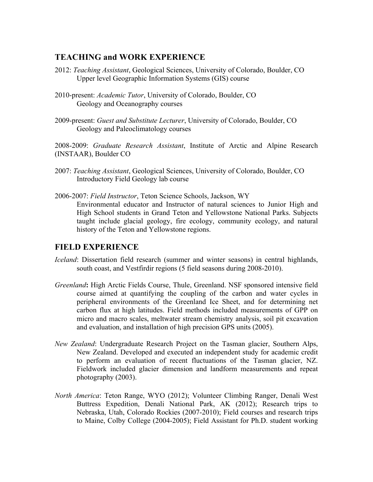### **TEACHING and WORK EXPERIENCE**

- 2012: *Teaching Assistant*, Geological Sciences, University of Colorado, Boulder, CO Upper level Geographic Information Systems (GIS) course
- 2010-present: *Academic Tutor*, University of Colorado, Boulder, CO Geology and Oceanography courses
- 2009-present: *Guest and Substitute Lecturer*, University of Colorado, Boulder, CO Geology and Paleoclimatology courses

2008-2009: *Graduate Research Assistant*, Institute of Arctic and Alpine Research (INSTAAR), Boulder CO

- 2007: *Teaching Assistant*, Geological Sciences, University of Colorado, Boulder, CO Introductory Field Geology lab course
- 2006-2007: *Field Instructor*, Teton Science Schools, Jackson, WY Environmental educator and Instructor of natural sciences to Junior High and High School students in Grand Teton and Yellowstone National Parks. Subjects taught include glacial geology, fire ecology, community ecology, and natural history of the Teton and Yellowstone regions.

# **FIELD EXPERIENCE**

- *Iceland*: Dissertation field research (summer and winter seasons) in central highlands, south coast, and Vestfirdir regions (5 field seasons during 2008-2010).
- *Greenland***:** High Arctic Fields Course, Thule, Greenland. NSF sponsored intensive field course aimed at quantifying the coupling of the carbon and water cycles in peripheral environments of the Greenland Ice Sheet, and for determining net carbon flux at high latitudes. Field methods included measurements of GPP on micro and macro scales, meltwater stream chemistry analysis, soil pit excavation and evaluation, and installation of high precision GPS units (2005).
- *New Zealand*: Undergraduate Research Project on the Tasman glacier, Southern Alps, New Zealand. Developed and executed an independent study for academic credit to perform an evaluation of recent fluctuations of the Tasman glacier, NZ. Fieldwork included glacier dimension and landform measurements and repeat photography (2003).
- *North America*: Teton Range, WYO (2012); Volunteer Climbing Ranger, Denali West Buttress Expedition, Denali National Park, AK (2012); Research trips to Nebraska, Utah, Colorado Rockies (2007-2010); Field courses and research trips to Maine, Colby College (2004-2005); Field Assistant for Ph.D. student working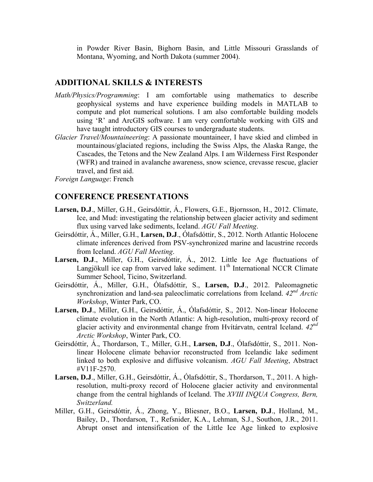in Powder River Basin, Bighorn Basin, and Little Missouri Grasslands of Montana, Wyoming, and North Dakota (summer 2004).

#### **ADDITIONAL SKILLS & INTERESTS**

- *Math/Physics/Programming*: I am comfortable using mathematics to describe geophysical systems and have experience building models in MATLAB to compute and plot numerical solutions. I am also comfortable building models using 'R' and ArcGIS software. I am very comfortable working with GIS and have taught introductory GIS courses to undergraduate students.
- *Glacier Travel/Mountaineering*: A passionate mountaineer, I have skied and climbed in mountainous/glaciated regions, including the Swiss Alps, the Alaska Range, the Cascades, the Tetons and the New Zealand Alps. I am Wilderness First Responder (WFR) and trained in avalanche awareness, snow science, crevasse rescue, glacier travel, and first aid.

*Foreign Language*: French

#### **CONFERENCE PRESENTATIONS**

- **Larsen, D.J**., Miller, G.H., Geirsdóttir, Á., Flowers, G.E., Bjornsson, H., 2012. Climate, Ice, and Mud: investigating the relationship between glacier activity and sediment flux using varved lake sediments, Iceland. *AGU Fall Meeting*.
- Geirsdóttir, Á., Miller, G.H., **Larsen, D.J**., Ólafsdóttir, S., 2012. North Atlantic Holocene climate inferences derived from PSV-synchronized marine and lacustrine records from Iceland. *AGU Fall Meeting*.
- Larsen, D.J., Miller, G.H., Geirsdóttir, Á., 2012. Little Ice Age fluctuations of Langjökull ice cap from varved lake sediment.  $11<sup>th</sup>$  International NCCR Climate Summer School, Ticino, Switzerland.
- Geirsdóttir, Á., Miller, G.H., Ólafsdóttir, S., **Larsen, D.J**., 2012. Paleomagnetic synchronization and land-sea paleoclimatic correlations from Iceland. *42nd Arctic Workshop*, Winter Park, CO.
- **Larsen, D.J**., Miller, G.H., Geirsdóttir, Á., Ólafsdóttir, S., 2012. Non-linear Holocene climate evolution in the North Atlantic: A high-resolution, multi-proxy record of glacier activity and environmental change from Hvítárvatn, central Iceland. *42nd Arctic Workshop*, Winter Park, CO.
- Geirsdóttir, Á., Thordarson, T., Miller, G.H., **Larsen, D.J**., Ólafsdóttir, S., 2011. Nonlinear Holocene climate behavior reconstructed from Icelandic lake sediment linked to both explosive and diffusive volcanism. *AGU Fall Meeting*, Abstract #V11F-2570.
- **Larsen, D.J**., Miller, G.H., Geirsdóttir, Á., Ólafsdóttir, S., Thordarson, T., 2011. A highresolution, multi-proxy record of Holocene glacier activity and environmental change from the central highlands of Iceland. The *XVIII INQUA Congress, Bern, Switzerland.*
- Miller, G.H., Geirsdóttir, Á., Zhong, Y., Bliesner, B.O., **Larsen, D.J**., Holland, M., Bailey, D., Thordarson, T., Refsnider, K.A., Lehman, S.J., Southon, J.R., 2011. Abrupt onset and intensification of the Little Ice Age linked to explosive